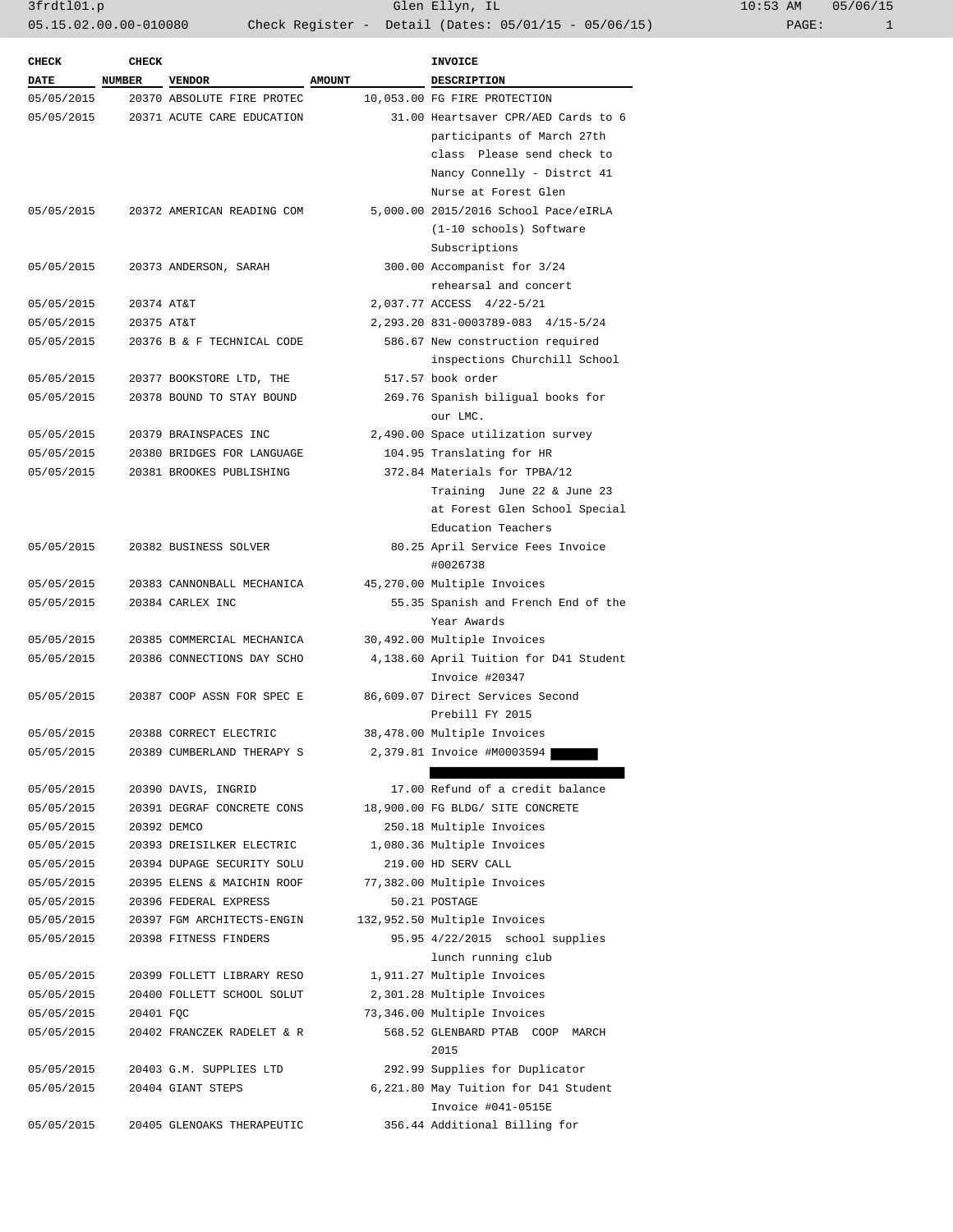| <b>CHECK</b> | <b>CHECK</b>  |                            |               | <b>INVOICE</b>                         |  |
|--------------|---------------|----------------------------|---------------|----------------------------------------|--|
| <b>DATE</b>  | <b>NUMBER</b> | <b>VENDOR</b>              | <b>AMOUNT</b> | <b>DESCRIPTION</b>                     |  |
| 05/05/2015   |               | 20370 ABSOLUTE FIRE PROTEC |               | 10,053.00 FG FIRE PROTECTION           |  |
| 05/05/2015   |               | 20371 ACUTE CARE EDUCATION |               | 31.00 Heartsaver CPR/AED Cards to 6    |  |
|              |               |                            |               | participants of March 27th             |  |
|              |               |                            |               | class Please send check to             |  |
|              |               |                            |               | Nancy Connelly - Distrct 41            |  |
|              |               |                            |               | Nurse at Forest Glen                   |  |
| 05/05/2015   |               | 20372 AMERICAN READING COM |               | 5,000.00 2015/2016 School Pace/eIRLA   |  |
|              |               |                            |               | (1-10 schools) Software                |  |
|              |               |                            |               | Subscriptions                          |  |
| 05/05/2015   |               | 20373 ANDERSON, SARAH      |               | 300.00 Accompanist for 3/24            |  |
|              |               |                            |               | rehearsal and concert                  |  |
| 05/05/2015   | 20374 AT&T    |                            |               | 2,037.77 ACCESS 4/22-5/21              |  |
| 05/05/2015   | 20375 AT&T    |                            |               | 2, 293.20 831-0003789-083 4/15-5/24    |  |
| 05/05/2015   |               | 20376 B & F TECHNICAL CODE |               | 586.67 New construction required       |  |
|              |               |                            |               | inspections Churchill School           |  |
| 05/05/2015   |               | 20377 BOOKSTORE LTD, THE   |               | 517.57 book order                      |  |
| 05/05/2015   |               | 20378 BOUND TO STAY BOUND  |               | 269.76 Spanish biligual books for      |  |
|              |               |                            |               | our LMC.                               |  |
| 05/05/2015   |               | 20379 BRAINSPACES INC      |               | 2,490.00 Space utilization survey      |  |
| 05/05/2015   |               | 20380 BRIDGES FOR LANGUAGE |               | 104.95 Translating for HR              |  |
| 05/05/2015   |               | 20381 BROOKES PUBLISHING   |               | 372.84 Materials for TPBA/12           |  |
|              |               |                            |               | Training June 22 & June 23             |  |
|              |               |                            |               | at Forest Glen School Special          |  |
|              |               |                            |               | Education Teachers                     |  |
| 05/05/2015   |               | 20382 BUSINESS SOLVER      |               | 80.25 April Service Fees Invoice       |  |
|              |               |                            |               | #0026738                               |  |
| 05/05/2015   |               | 20383 CANNONBALL MECHANICA |               | 45,270.00 Multiple Invoices            |  |
| 05/05/2015   |               | 20384 CARLEX INC           |               | 55.35 Spanish and French End of the    |  |
|              |               |                            |               | Year Awards                            |  |
| 05/05/2015   |               | 20385 COMMERCIAL MECHANICA |               | 30,492.00 Multiple Invoices            |  |
| 05/05/2015   |               | 20386 CONNECTIONS DAY SCHO |               | 4,138.60 April Tuition for D41 Student |  |
|              |               |                            |               | Invoice #20347                         |  |
| 05/05/2015   |               | 20387 COOP ASSN FOR SPEC E |               | 86,609.07 Direct Services Second       |  |
|              |               |                            |               | Prebill FY 2015                        |  |
| 05/05/2015   |               | 20388 CORRECT ELECTRIC     |               | 38,478.00 Multiple Invoices            |  |
| 05/05/2015   |               | 20389 CUMBERLAND THERAPY S |               | 2,379.81 Invoice #M0003594             |  |
|              |               |                            |               |                                        |  |
| 05/05/2015   |               | 20390 DAVIS, INGRID        |               | 17.00 Refund of a credit balance       |  |
| 05/05/2015   |               | 20391 DEGRAF CONCRETE CONS |               | 18,900.00 FG BLDG/ SITE CONCRETE       |  |
| 05/05/2015   |               | 20392 DEMCO                |               | 250.18 Multiple Invoices               |  |
| 05/05/2015   |               | 20393 DREISILKER ELECTRIC  |               | 1,080.36 Multiple Invoices             |  |
| 05/05/2015   |               | 20394 DUPAGE SECURITY SOLU |               | 219.00 HD SERV CALL                    |  |
| 05/05/2015   |               | 20395 ELENS & MAICHIN ROOF |               | 77,382.00 Multiple Invoices            |  |
| 05/05/2015   |               | 20396 FEDERAL EXPRESS      |               | 50.21 POSTAGE                          |  |
| 05/05/2015   |               | 20397 FGM ARCHITECTS-ENGIN |               | 132,952.50 Multiple Invoices           |  |
| 05/05/2015   |               | 20398 FITNESS FINDERS      |               | 95.95 4/22/2015 school supplies        |  |
|              |               |                            |               | lunch running club                     |  |
| 05/05/2015   |               | 20399 FOLLETT LIBRARY RESO |               | 1,911.27 Multiple Invoices             |  |
| 05/05/2015   |               | 20400 FOLLETT SCHOOL SOLUT |               | 2,301.28 Multiple Invoices             |  |
| 05/05/2015   | 20401 FQC     |                            |               | 73,346.00 Multiple Invoices            |  |
| 05/05/2015   |               | 20402 FRANCZEK RADELET & R |               | 568.52 GLENBARD PTAB COOP MARCH        |  |
|              |               |                            |               | 2015                                   |  |
| 05/05/2015   |               | 20403 G.M. SUPPLIES LTD    |               | 292.99 Supplies for Duplicator         |  |
| 05/05/2015   |               | 20404 GIANT STEPS          |               | 6,221.80 May Tuition for D41 Student   |  |
|              |               |                            |               | Invoice #041-0515E                     |  |
| 05/05/2015   |               | 20405 GLENOAKS THERAPEUTIC |               | 356.44 Additional Billing for          |  |
|              |               |                            |               |                                        |  |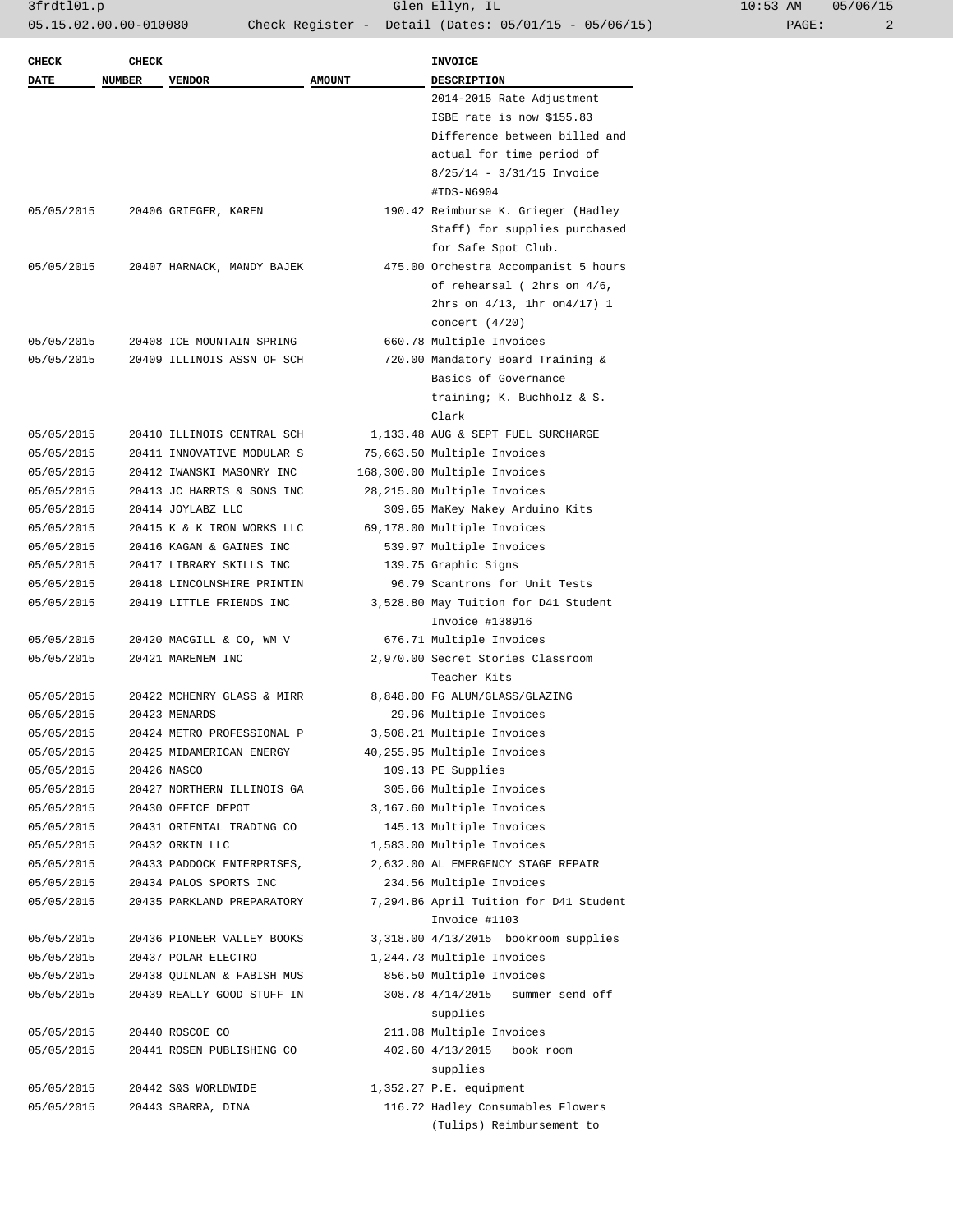| <b>CHECK</b> | <b>CHECK</b>  |                            |               | <b>INVOICE</b>                         |
|--------------|---------------|----------------------------|---------------|----------------------------------------|
| DATE         | <b>NUMBER</b> | <b>VENDOR</b>              | <b>AMOUNT</b> | <b>DESCRIPTION</b>                     |
|              |               |                            |               | 2014-2015 Rate Adjustment              |
|              |               |                            |               | ISBE rate is now \$155.83              |
|              |               |                            |               | Difference between billed and          |
|              |               |                            |               | actual for time period of              |
|              |               |                            |               | $8/25/14 - 3/31/15$ Invoice            |
|              |               |                            |               | #TDS-N6904                             |
| 05/05/2015   |               | 20406 GRIEGER, KAREN       |               | 190.42 Reimburse K. Grieger (Hadley    |
|              |               |                            |               | Staff) for supplies purchased          |
|              |               |                            |               | for Safe Spot Club.                    |
| 05/05/2015   |               | 20407 HARNACK, MANDY BAJEK |               | 475.00 Orchestra Accompanist 5 hours   |
|              |               |                            |               | of rehearsal (2hrs on 4/6,             |
|              |               |                            |               | 2hrs on $4/13$ , 1hr on $4/17$ ) 1     |
|              |               |                            |               | concert $(4/20)$                       |
| 05/05/2015   |               | 20408 ICE MOUNTAIN SPRING  |               | 660.78 Multiple Invoices               |
| 05/05/2015   |               | 20409 ILLINOIS ASSN OF SCH |               | 720.00 Mandatory Board Training &      |
|              |               |                            |               | Basics of Governance                   |
|              |               |                            |               | training; K. Buchholz & S.             |
|              |               |                            |               | Clark                                  |
| 05/05/2015   |               | 20410 ILLINOIS CENTRAL SCH |               | 1,133.48 AUG & SEPT FUEL SURCHARGE     |
| 05/05/2015   |               | 20411 INNOVATIVE MODULAR S |               | 75,663.50 Multiple Invoices            |
| 05/05/2015   |               | 20412 IWANSKI MASONRY INC  |               | 168,300.00 Multiple Invoices           |
| 05/05/2015   |               | 20413 JC HARRIS & SONS INC |               | 28,215.00 Multiple Invoices            |
| 05/05/2015   |               | 20414 JOYLABZ LLC          |               | 309.65 MaKey Makey Arduino Kits        |
| 05/05/2015   |               | 20415 K & K IRON WORKS LLC |               | 69,178.00 Multiple Invoices            |
| 05/05/2015   |               | 20416 KAGAN & GAINES INC   |               | 539.97 Multiple Invoices               |
| 05/05/2015   |               | 20417 LIBRARY SKILLS INC   |               | 139.75 Graphic Signs                   |
| 05/05/2015   |               | 20418 LINCOLNSHIRE PRINTIN |               | 96.79 Scantrons for Unit Tests         |
| 05/05/2015   |               | 20419 LITTLE FRIENDS INC   |               | 3,528.80 May Tuition for D41 Student   |
|              |               |                            |               | Invoice #138916                        |
| 05/05/2015   |               | 20420 MACGILL & CO, WM V   |               | 676.71 Multiple Invoices               |
| 05/05/2015   |               | 20421 MARENEM INC          |               | 2,970.00 Secret Stories Classroom      |
|              |               |                            |               | Teacher Kits                           |
| 05/05/2015   |               | 20422 MCHENRY GLASS & MIRR |               | 8,848.00 FG ALUM/GLASS/GLAZING         |
| 05/05/2015   |               | 20423 MENARDS              |               | 29.96 Multiple Invoices                |
| 05/05/2015   |               | 20424 METRO PROFESSIONAL P |               | 3,508.21 Multiple Invoices             |
| 05/05/2015   |               | 20425 MIDAMERICAN ENERGY   |               | 40,255.95 Multiple Invoices            |
| 05/05/2015   |               | 20426 NASCO                |               | 109.13 PE Supplies                     |
| 05/05/2015   |               | 20427 NORTHERN ILLINOIS GA |               | 305.66 Multiple Invoices               |
| 05/05/2015   |               | 20430 OFFICE DEPOT         |               | 3,167.60 Multiple Invoices             |
| 05/05/2015   |               | 20431 ORIENTAL TRADING CO  |               | 145.13 Multiple Invoices               |
| 05/05/2015   |               | 20432 ORKIN LLC            |               | 1,583.00 Multiple Invoices             |
| 05/05/2015   |               | 20433 PADDOCK ENTERPRISES, |               | 2,632.00 AL EMERGENCY STAGE REPAIR     |
| 05/05/2015   |               | 20434 PALOS SPORTS INC     |               | 234.56 Multiple Invoices               |
| 05/05/2015   |               | 20435 PARKLAND PREPARATORY |               | 7,294.86 April Tuition for D41 Student |
|              |               |                            |               | Invoice #1103                          |
| 05/05/2015   |               | 20436 PIONEER VALLEY BOOKS |               | 3,318.00 4/13/2015 bookroom supplies   |
| 05/05/2015   |               | 20437 POLAR ELECTRO        |               | 1,244.73 Multiple Invoices             |
| 05/05/2015   |               | 20438 QUINLAN & FABISH MUS |               | 856.50 Multiple Invoices               |
| 05/05/2015   |               | 20439 REALLY GOOD STUFF IN |               | 308.78 4/14/2015<br>summer send off    |
|              |               |                            |               | supplies                               |
| 05/05/2015   |               | 20440 ROSCOE CO            |               | 211.08 Multiple Invoices               |
| 05/05/2015   |               | 20441 ROSEN PUBLISHING CO  |               | 402.60 4/13/2015<br>book room          |
|              |               |                            |               | supplies                               |
| 05/05/2015   |               | 20442 S&S WORLDWIDE        |               | 1,352.27 P.E. equipment                |
| 05/05/2015   |               | 20443 SBARRA, DINA         |               | 116.72 Hadley Consumables Flowers      |
|              |               |                            |               | (Tulips) Reimbursement to              |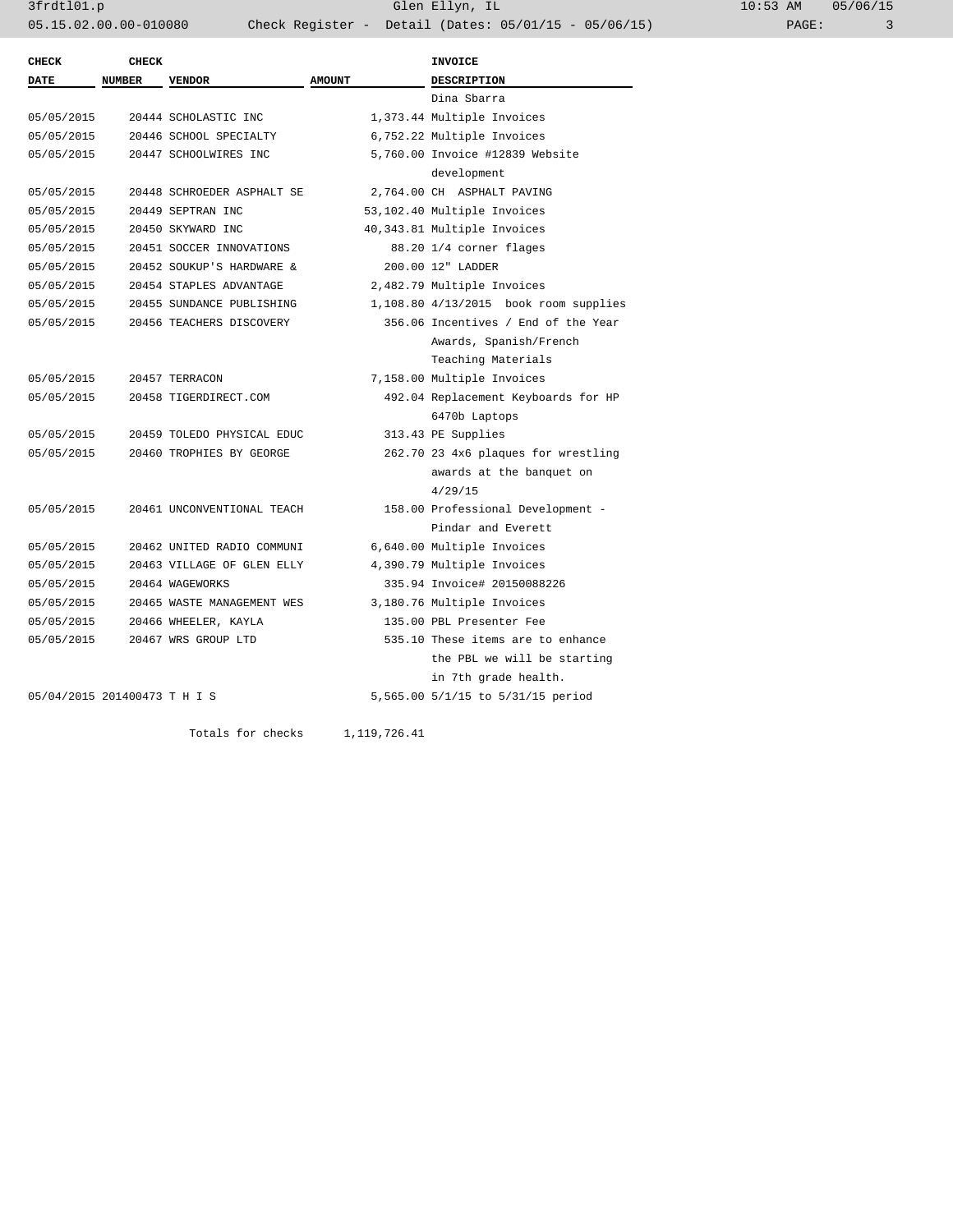| <b>CHECK</b>                 | <b>CHECK</b>  |                            |               | <b>INVOICE</b>                        |
|------------------------------|---------------|----------------------------|---------------|---------------------------------------|
| DATE                         | <b>NUMBER</b> | <b>VENDOR</b>              | <b>AMOUNT</b> | <b>DESCRIPTION</b>                    |
|                              |               |                            |               | Dina Sbarra                           |
| 05/05/2015                   |               | 20444 SCHOLASTIC INC       |               | 1,373.44 Multiple Invoices            |
| 05/05/2015                   |               | 20446 SCHOOL SPECIALTY     |               | 6,752.22 Multiple Invoices            |
| 05/05/2015                   |               | 20447 SCHOOLWIRES INC      |               | 5,760.00 Invoice #12839 Website       |
|                              |               |                            |               | development                           |
| 05/05/2015                   |               | 20448 SCHROEDER ASPHALT SE |               | 2,764.00 CH ASPHALT PAVING            |
| 05/05/2015                   |               | 20449 SEPTRAN INC          |               | 53,102.40 Multiple Invoices           |
| 05/05/2015                   |               | 20450 SKYWARD INC          |               | 40,343.81 Multiple Invoices           |
| 05/05/2015                   |               | 20451 SOCCER INNOVATIONS   |               | 88.20 1/4 corner flages               |
| 05/05/2015                   |               | 20452 SOUKUP'S HARDWARE &  |               | 200.00 12" LADDER                     |
| 05/05/2015                   |               | 20454 STAPLES ADVANTAGE    |               | 2,482.79 Multiple Invoices            |
| 05/05/2015                   |               | 20455 SUNDANCE PUBLISHING  |               | 1,108.80 4/13/2015 book room supplies |
| 05/05/2015                   |               | 20456 TEACHERS DISCOVERY   |               | 356.06 Incentives / End of the Year   |
|                              |               |                            |               | Awards, Spanish/French                |
|                              |               |                            |               | Teaching Materials                    |
| 05/05/2015                   |               | 20457 TERRACON             |               | 7,158.00 Multiple Invoices            |
| 05/05/2015                   |               | 20458 TIGERDIRECT.COM      |               | 492.04 Replacement Keyboards for HP   |
|                              |               |                            |               | 6470b Laptops                         |
| 05/05/2015                   |               | 20459 TOLEDO PHYSICAL EDUC |               | 313.43 PE Supplies                    |
| 05/05/2015                   |               | 20460 TROPHIES BY GEORGE   |               | 262.70 23 4x6 plaques for wrestling   |
|                              |               |                            |               | awards at the banquet on              |
|                              |               |                            |               | 4/29/15                               |
| 05/05/2015                   |               | 20461 UNCONVENTIONAL TEACH |               | 158.00 Professional Development -     |
|                              |               |                            |               | Pindar and Everett                    |
| 05/05/2015                   |               | 20462 UNITED RADIO COMMUNI |               | 6,640.00 Multiple Invoices            |
| 05/05/2015                   |               | 20463 VILLAGE OF GLEN ELLY |               | 4,390.79 Multiple Invoices            |
| 05/05/2015                   |               | 20464 WAGEWORKS            |               | 335.94 Invoice# 20150088226           |
| 05/05/2015                   |               | 20465 WASTE MANAGEMENT WES |               | 3,180.76 Multiple Invoices            |
| 05/05/2015                   |               | 20466 WHEELER, KAYLA       |               | 135.00 PBL Presenter Fee              |
| 05/05/2015                   |               | 20467 WRS GROUP LTD        |               | 535.10 These items are to enhance     |
|                              |               |                            |               | the PBL we will be starting           |
|                              |               |                            |               | in 7th grade health.                  |
| 05/04/2015 201400473 T H I S |               |                            |               | 5,565.00 5/1/15 to 5/31/15 period     |

Totals for checks 1,119,726.41